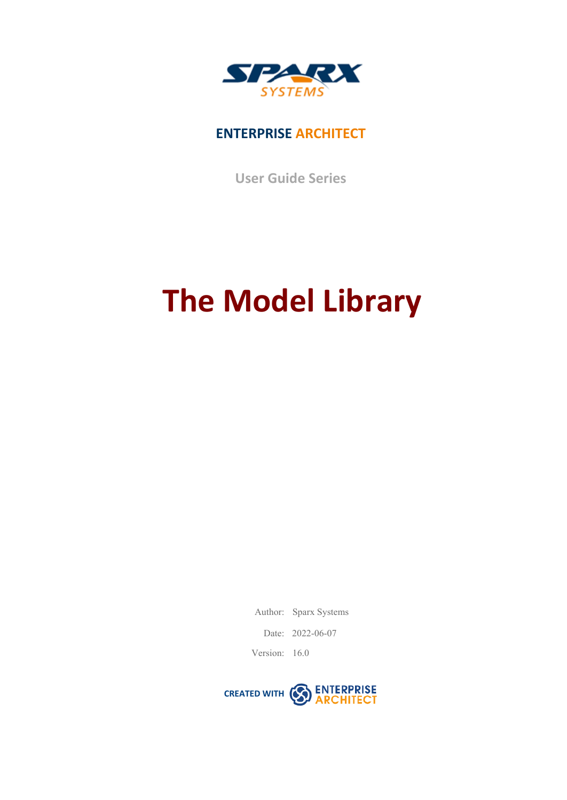

### **ENTERPRISE ARCHITECT**

**User Guide Series**

# **The Model Library**

Author: Sparx Systems

Date: 2022-06-07

Version: 16.0

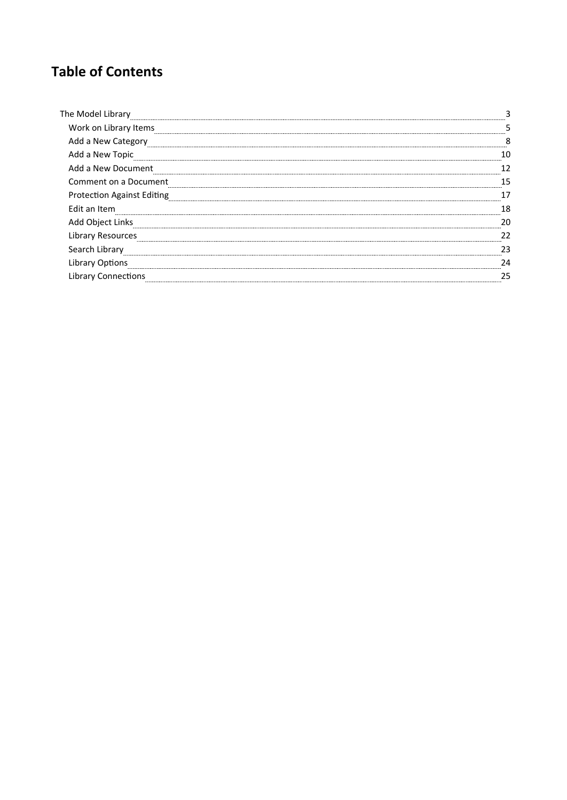### **Table of Contents**

| The Model Library                 |  |
|-----------------------------------|--|
| Work on Library Items             |  |
| Add a New Category                |  |
| Add a New Topic                   |  |
| Add a New Document                |  |
| Comment on a Document             |  |
| <b>Protection Against Editing</b> |  |
| Edit an Item                      |  |
| Add Object Links                  |  |
| Library Resources                 |  |
| Search Library                    |  |
| <b>Library Options</b>            |  |
| <b>Library Connections</b>        |  |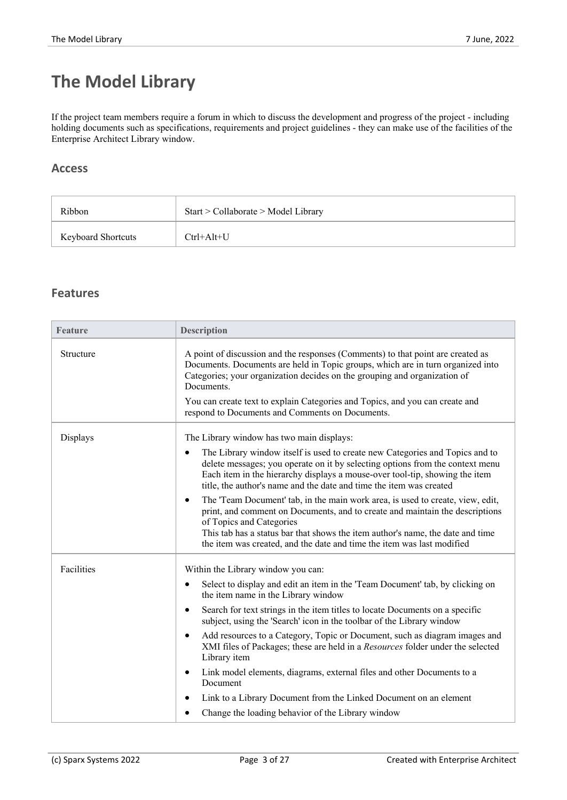# **The Model Library**

If the project team members require a forum in which to discuss the development and progress of the project - including holding documents such as specifications, requirements and project guidelines - they can make use of the facilities of the Enterprise Architect Library window.

#### **Access**

| Ribbon                    | Start > Collaborate > Model Library |
|---------------------------|-------------------------------------|
| <b>Keyboard Shortcuts</b> | $Ctrl+Alt+U$                        |

#### **Features**

| <b>Feature</b> | <b>Description</b>                                                                                                                                                                                                                                                                                                                                                  |  |
|----------------|---------------------------------------------------------------------------------------------------------------------------------------------------------------------------------------------------------------------------------------------------------------------------------------------------------------------------------------------------------------------|--|
| Structure      | A point of discussion and the responses (Comments) to that point are created as<br>Documents. Documents are held in Topic groups, which are in turn organized into<br>Categories; your organization decides on the grouping and organization of<br>Documents.                                                                                                       |  |
|                | You can create text to explain Categories and Topics, and you can create and<br>respond to Documents and Comments on Documents.                                                                                                                                                                                                                                     |  |
| Displays       | The Library window has two main displays:                                                                                                                                                                                                                                                                                                                           |  |
|                | The Library window itself is used to create new Categories and Topics and to<br>$\bullet$<br>delete messages; you operate on it by selecting options from the context menu<br>Each item in the hierarchy displays a mouse-over tool-tip, showing the item<br>title, the author's name and the date and time the item was created                                    |  |
|                | The 'Team Document' tab, in the main work area, is used to create, view, edit,<br>$\bullet$<br>print, and comment on Documents, and to create and maintain the descriptions<br>of Topics and Categories<br>This tab has a status bar that shows the item author's name, the date and time<br>the item was created, and the date and time the item was last modified |  |
| Facilities     | Within the Library window you can:                                                                                                                                                                                                                                                                                                                                  |  |
|                | Select to display and edit an item in the 'Team Document' tab, by clicking on<br>$\bullet$<br>the item name in the Library window                                                                                                                                                                                                                                   |  |
|                | Search for text strings in the item titles to locate Documents on a specific<br>$\bullet$<br>subject, using the 'Search' icon in the toolbar of the Library window                                                                                                                                                                                                  |  |
|                | Add resources to a Category, Topic or Document, such as diagram images and<br>$\bullet$<br>XMI files of Packages; these are held in a Resources folder under the selected<br>Library item                                                                                                                                                                           |  |
|                | Link model elements, diagrams, external files and other Documents to a<br>$\bullet$<br>Document                                                                                                                                                                                                                                                                     |  |
|                | Link to a Library Document from the Linked Document on an element<br>$\bullet$                                                                                                                                                                                                                                                                                      |  |
|                | Change the loading behavior of the Library window<br>$\bullet$                                                                                                                                                                                                                                                                                                      |  |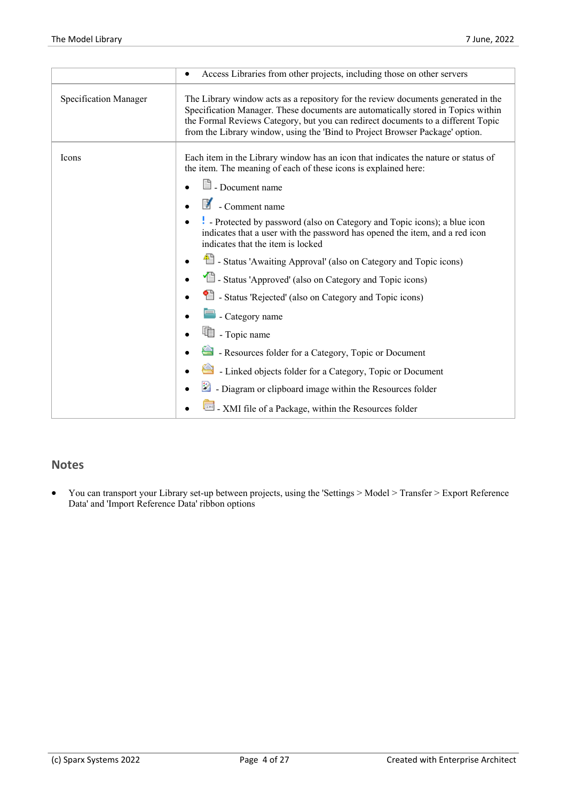|                       | Access Libraries from other projects, including those on other servers<br>$\bullet$                                                                                                                                                                                                                                                                                                                                                                                                                                                                                                                                                                                                                                                                                                                                                                                           |
|-----------------------|-------------------------------------------------------------------------------------------------------------------------------------------------------------------------------------------------------------------------------------------------------------------------------------------------------------------------------------------------------------------------------------------------------------------------------------------------------------------------------------------------------------------------------------------------------------------------------------------------------------------------------------------------------------------------------------------------------------------------------------------------------------------------------------------------------------------------------------------------------------------------------|
| Specification Manager | The Library window acts as a repository for the review documents generated in the<br>Specification Manager. These documents are automatically stored in Topics within<br>the Formal Reviews Category, but you can redirect documents to a different Topic<br>from the Library window, using the 'Bind to Project Browser Package' option.                                                                                                                                                                                                                                                                                                                                                                                                                                                                                                                                     |
| Icons                 | Each item in the Library window has an icon that indicates the nature or status of<br>the item. The meaning of each of these icons is explained here:<br>$\Box$ Document name<br>暾<br>- Comment name<br>Protected by password (also on Category and Topic icons); a blue icon<br>indicates that a user with the password has opened the item, and a red icon<br>indicates that the item is locked<br><sup>4</sup> - Status 'Awaiting Approval' (also on Category and Topic icons)<br>Status 'Approved' (also on Category and Topic icons)<br>Status 'Rejected' (also on Category and Topic icons)<br>- Category name<br>围 - Topic name<br>- Resources folder for a Category, Topic or Document<br>- Linked objects folder for a Category, Topic or Document<br>- Diagram or clipboard image within the Resources folder<br>XMI file of a Package, within the Resources folder |
|                       |                                                                                                                                                                                                                                                                                                                                                                                                                                                                                                                                                                                                                                                                                                                                                                                                                                                                               |

#### **Notes**

· You can transport your Library set-up between projects, using the 'Settings > Model > Transfer > Export Reference Data' and 'Import Reference Data' ribbon options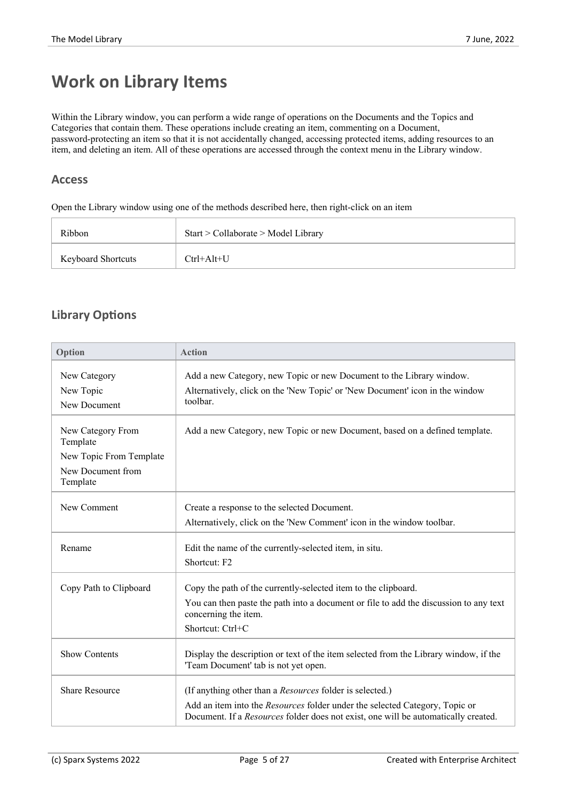## **Work on Library Items**

Within the Library window, you can perform a wide range of operations on the Documents and the Topics and Categories that contain them. These operations include creating an item, commenting on a Document, password-protecting an item so that it is not accidentally changed, accessing protected items, adding resources to an item, and deleting an item. All of these operations are accessed through the context menu in the Library window.

#### **Access**

Open the Library window using one of the methods described here, then right-click on an item

| Ribbon                    | Start > Collaborate > Model Library |
|---------------------------|-------------------------------------|
| <b>Keyboard Shortcuts</b> | $Ctrl+Alt+U$                        |

#### **Library Options**

| Option                        | <b>Action</b>                                                                                                                                                     |
|-------------------------------|-------------------------------------------------------------------------------------------------------------------------------------------------------------------|
| New Category                  | Add a new Category, new Topic or new Document to the Library window.                                                                                              |
| New Topic                     | Alternatively, click on the 'New Topic' or 'New Document' icon in the window                                                                                      |
| New Document                  | toolbar.                                                                                                                                                          |
| New Category From<br>Template | Add a new Category, new Topic or new Document, based on a defined template.                                                                                       |
| New Topic From Template       |                                                                                                                                                                   |
| New Document from<br>Template |                                                                                                                                                                   |
| New Comment                   | Create a response to the selected Document.                                                                                                                       |
|                               | Alternatively, click on the 'New Comment' icon in the window toolbar.                                                                                             |
| Rename                        | Edit the name of the currently-selected item, in situ.                                                                                                            |
|                               | Shortcut: F2                                                                                                                                                      |
| Copy Path to Clipboard        | Copy the path of the currently-selected item to the clipboard.                                                                                                    |
|                               | You can then paste the path into a document or file to add the discussion to any text<br>concerning the item.                                                     |
|                               | Shortcut: Ctrl+C                                                                                                                                                  |
| <b>Show Contents</b>          | Display the description or text of the item selected from the Library window, if the<br>'Team Document' tab is not yet open.                                      |
| <b>Share Resource</b>         | (If anything other than a Resources folder is selected.)                                                                                                          |
|                               | Add an item into the Resources folder under the selected Category, Topic or<br>Document. If a Resources folder does not exist, one will be automatically created. |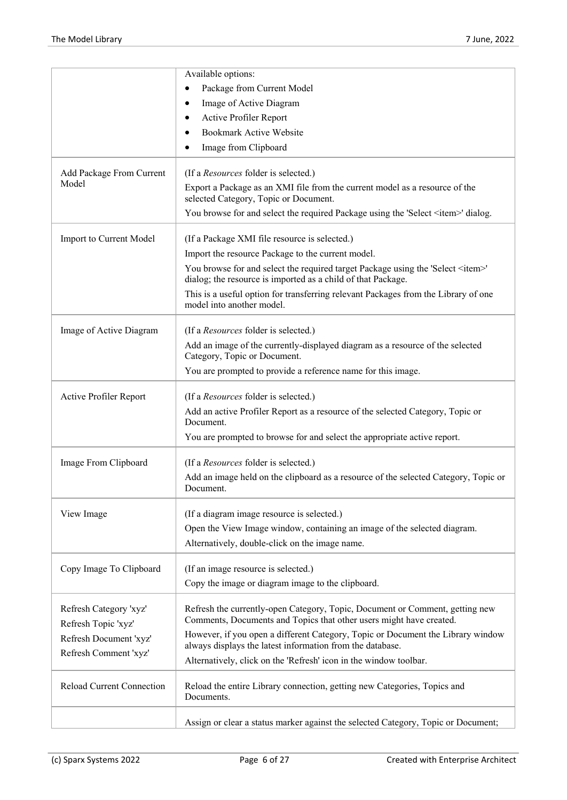|                                               | Available options:                                                                                                                                      |
|-----------------------------------------------|---------------------------------------------------------------------------------------------------------------------------------------------------------|
|                                               | Package from Current Model<br>$\bullet$                                                                                                                 |
|                                               | Image of Active Diagram<br>٠                                                                                                                            |
|                                               | Active Profiler Report                                                                                                                                  |
|                                               | <b>Bookmark Active Website</b><br>٠                                                                                                                     |
|                                               | Image from Clipboard<br>٠                                                                                                                               |
| Add Package From Current                      | (If a <i>Resources</i> folder is selected.)                                                                                                             |
| Model                                         | Export a Package as an XMI file from the current model as a resource of the<br>selected Category, Topic or Document.                                    |
|                                               | You browse for and select the required Package using the 'Select <item>' dialog.</item>                                                                 |
| Import to Current Model                       | (If a Package XMI file resource is selected.)                                                                                                           |
|                                               | Import the resource Package to the current model.                                                                                                       |
|                                               | You browse for and select the required target Package using the 'Select <item>'<br/>dialog; the resource is imported as a child of that Package.</item> |
|                                               | This is a useful option for transferring relevant Packages from the Library of one<br>model into another model.                                         |
| Image of Active Diagram                       | (If a Resources folder is selected.)                                                                                                                    |
|                                               | Add an image of the currently-displayed diagram as a resource of the selected<br>Category, Topic or Document.                                           |
|                                               | You are prompted to provide a reference name for this image.                                                                                            |
| Active Profiler Report                        | (If a <i>Resources</i> folder is selected.)                                                                                                             |
|                                               | Add an active Profiler Report as a resource of the selected Category, Topic or                                                                          |
|                                               | Document.<br>You are prompted to browse for and select the appropriate active report.                                                                   |
|                                               |                                                                                                                                                         |
| Image From Clipboard                          | (If a Resources folder is selected.)                                                                                                                    |
|                                               | Add an image held on the clipboard as a resource of the selected Category, Topic or<br>Document.                                                        |
| View Image                                    | (If a diagram image resource is selected.)                                                                                                              |
|                                               | Open the View Image window, containing an image of the selected diagram.                                                                                |
|                                               | Alternatively, double-click on the image name.                                                                                                          |
| Copy Image To Clipboard                       | (If an image resource is selected.)                                                                                                                     |
|                                               | Copy the image or diagram image to the clipboard.                                                                                                       |
|                                               |                                                                                                                                                         |
| Refresh Category 'xyz'                        | Refresh the currently-open Category, Topic, Document or Comment, getting new<br>Comments, Documents and Topics that other users might have created.     |
| Refresh Topic 'xyz'<br>Refresh Document 'xyz' | However, if you open a different Category, Topic or Document the Library window                                                                         |
| Refresh Comment 'xyz'                         | always displays the latest information from the database.                                                                                               |
|                                               | Alternatively, click on the 'Refresh' icon in the window toolbar.                                                                                       |
| <b>Reload Current Connection</b>              | Reload the entire Library connection, getting new Categories, Topics and<br>Documents.                                                                  |
|                                               | Assign or clear a status marker against the selected Category, Topic or Document;                                                                       |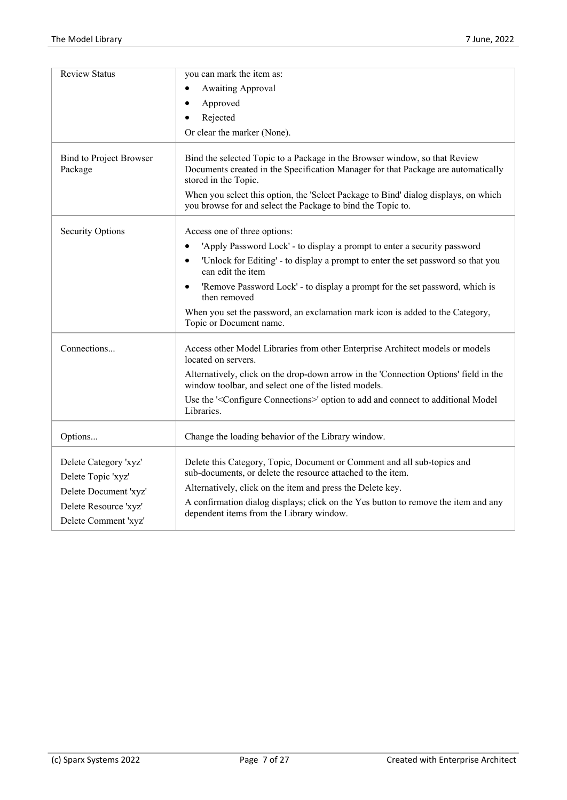| <b>Review Status</b>                      | you can mark the item as:                                                                                                                                                               |
|-------------------------------------------|-----------------------------------------------------------------------------------------------------------------------------------------------------------------------------------------|
|                                           | <b>Awaiting Approval</b><br>٠                                                                                                                                                           |
|                                           | Approved                                                                                                                                                                                |
|                                           | Rejected                                                                                                                                                                                |
|                                           | Or clear the marker (None).                                                                                                                                                             |
| <b>Bind to Project Browser</b><br>Package | Bind the selected Topic to a Package in the Browser window, so that Review<br>Documents created in the Specification Manager for that Package are automatically<br>stored in the Topic. |
|                                           | When you select this option, the 'Select Package to Bind' dialog displays, on which<br>you browse for and select the Package to bind the Topic to.                                      |
| <b>Security Options</b>                   | Access one of three options:                                                                                                                                                            |
|                                           | 'Apply Password Lock' - to display a prompt to enter a security password                                                                                                                |
|                                           | 'Unlock for Editing' - to display a prompt to enter the set password so that you<br>$\bullet$<br>can edit the item                                                                      |
|                                           | 'Remove Password Lock' - to display a prompt for the set password, which is<br>$\bullet$<br>then removed                                                                                |
|                                           | When you set the password, an exclamation mark icon is added to the Category,<br>Topic or Document name.                                                                                |
| Connections                               | Access other Model Libraries from other Enterprise Architect models or models<br>located on servers.                                                                                    |
|                                           | Alternatively, click on the drop-down arrow in the 'Connection Options' field in the<br>window toolbar, and select one of the listed models.                                            |
|                                           | Use the ' <configure connections="">' option to add and connect to additional Model<br/>Libraries.</configure>                                                                          |
| Options                                   | Change the loading behavior of the Library window.                                                                                                                                      |
| Delete Category 'xyz'                     | Delete this Category, Topic, Document or Comment and all sub-topics and<br>sub-documents, or delete the resource attached to the item.                                                  |
| Delete Topic 'xyz'                        |                                                                                                                                                                                         |
| Delete Document 'xyz'                     | Alternatively, click on the item and press the Delete key.                                                                                                                              |
| Delete Resource 'xyz'                     | A confirmation dialog displays; click on the Yes button to remove the item and any<br>dependent items from the Library window.                                                          |
| Delete Comment 'xyz'                      |                                                                                                                                                                                         |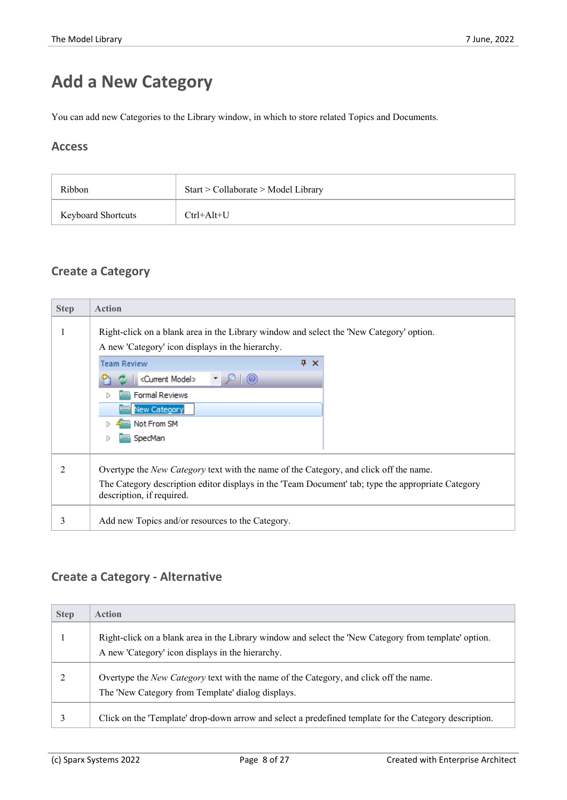# **Add a New Category**

You can add new Categories to the Library window, in which to store related Topics and Documents.

#### **Access**

| Ribbon                    | Start > Collaborate > Model Library |
|---------------------------|-------------------------------------|
| <b>Keyboard Shortcuts</b> | $Ctrl+Alt+U$                        |

#### **Create a Category**

| <b>Step</b> | <b>Action</b>                                                                                                                               |  |  |
|-------------|---------------------------------------------------------------------------------------------------------------------------------------------|--|--|
|             | Right-click on a blank area in the Library window and select the 'New Category' option.<br>A new 'Category' icon displays in the hierarchy. |  |  |
|             | $4 \times$<br><b>Team Review</b>                                                                                                            |  |  |
|             | <current model=""><br/><math>^{\circ}</math></current>                                                                                      |  |  |
|             | <b>Formal Reviews</b>                                                                                                                       |  |  |
|             | New Category                                                                                                                                |  |  |
|             | Not From SM                                                                                                                                 |  |  |
|             | SpecMan                                                                                                                                     |  |  |
| 2           | Overtype the <i>New Category</i> text with the name of the Category, and click off the name.                                                |  |  |
|             | The Category description editor displays in the 'Team Document' tab; type the appropriate Category<br>description, if required.             |  |  |
| 3           | Add new Topics and/or resources to the Category.                                                                                            |  |  |

#### **Create a Category - Alternative**

| <b>Step</b> | <b>Action</b>                                                                                                                                             |
|-------------|-----------------------------------------------------------------------------------------------------------------------------------------------------------|
|             | Right-click on a blank area in the Library window and select the 'New Category from template' option.<br>A new 'Category' icon displays in the hierarchy. |
|             | Overtype the <i>New Category</i> text with the name of the Category, and click off the name.<br>The 'New Category from Template' dialog displays.         |
|             | Click on the 'Template' drop-down arrow and select a predefined template for the Category description.                                                    |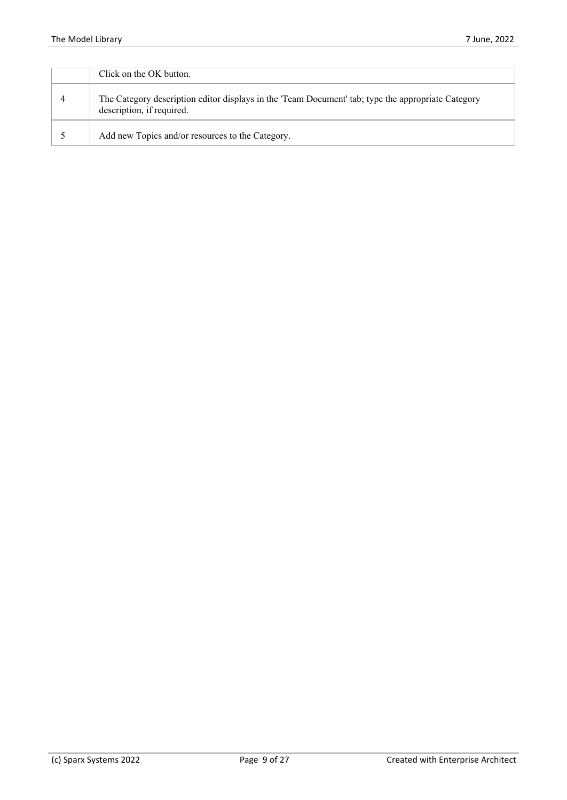| Click on the OK button.                                                                                                         |
|---------------------------------------------------------------------------------------------------------------------------------|
| The Category description editor displays in the 'Team Document' tab; type the appropriate Category<br>description, if required. |
| Add new Topics and/or resources to the Category.                                                                                |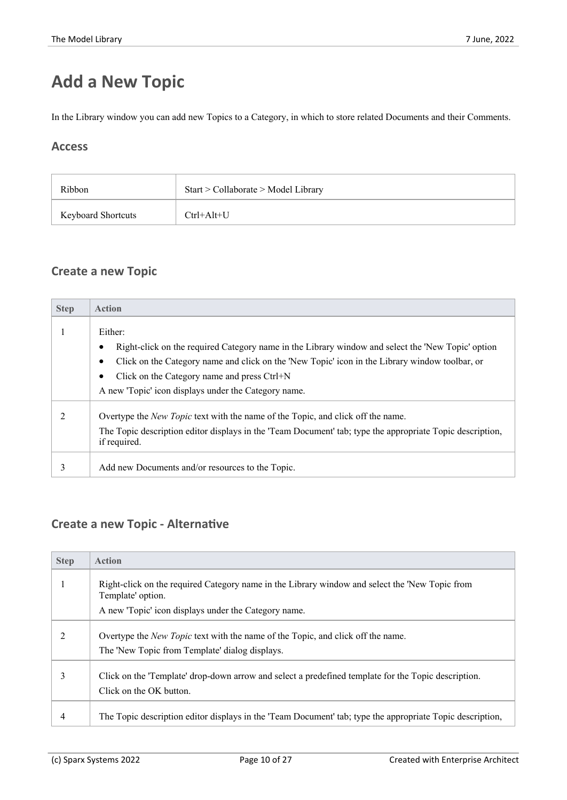# **Add a New Topic**

In the Library window you can add new Topics to a Category, in which to store related Documents and their Comments.

#### **Access**

| Ribbon                    | Start > Collaborate > Model Library |
|---------------------------|-------------------------------------|
| <b>Keyboard Shortcuts</b> | $Ctrl+Alt+U$                        |

#### **Create a new Topic**

| <b>Step</b> | <b>Action</b>                                                                                                                                                                                                                                                               |
|-------------|-----------------------------------------------------------------------------------------------------------------------------------------------------------------------------------------------------------------------------------------------------------------------------|
|             | Either:<br>Right-click on the required Category name in the Library window and select the 'New Topic' option<br>Click on the Category name and click on the 'New Topic' icon in the Library window toolbar, or<br>Click on the Category name and press Ctrl+N               |
|             | A new 'Topic' icon displays under the Category name.<br>Overtype the <i>New Topic</i> text with the name of the Topic, and click off the name.<br>The Topic description editor displays in the 'Team Document' tab; type the appropriate Topic description,<br>if required. |
| 3           | Add new Documents and/or resources to the Topic.                                                                                                                                                                                                                            |

#### **Create a new Topic - Alternative**

| <b>Step</b> | <b>Action</b>                                                                                                                            |
|-------------|------------------------------------------------------------------------------------------------------------------------------------------|
|             | Right-click on the required Category name in the Library window and select the 'New Topic from<br>Template' option.                      |
|             | A new 'Topic' icon displays under the Category name.                                                                                     |
|             | Overtype the <i>New Topic</i> text with the name of the Topic, and click off the name.<br>The 'New Topic from Template' dialog displays. |
| 3           | Click on the 'Template' drop-down arrow and select a predefined template for the Topic description.<br>Click on the OK button.           |
| 4           | The Topic description editor displays in the 'Team Document' tab; type the appropriate Topic description,                                |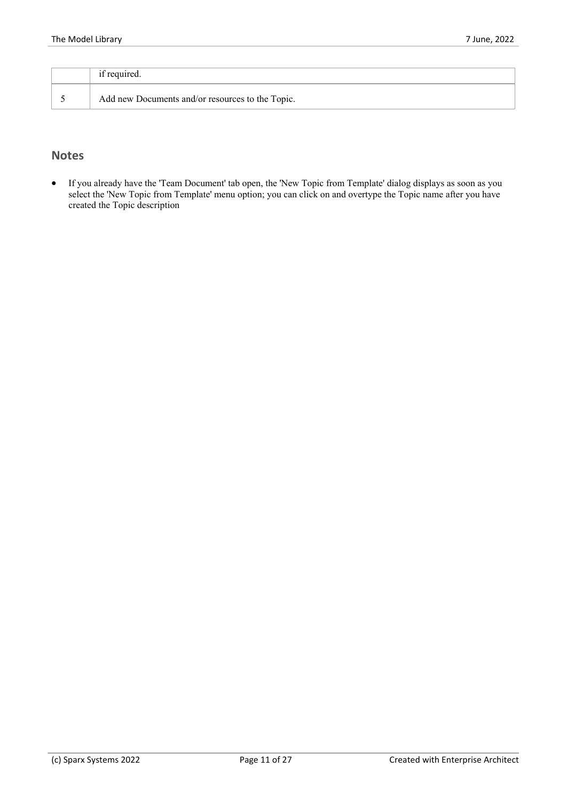|  | if required.                                     |  |
|--|--------------------------------------------------|--|
|  | Add new Documents and/or resources to the Topic. |  |

#### **Notes**

· If you already have the 'Team Document' tab open, the 'New Topic from Template' dialog displays as soon as you select the 'New Topic from Template' menu option; you can click on and overtype the Topic name afteryou have created the Topic description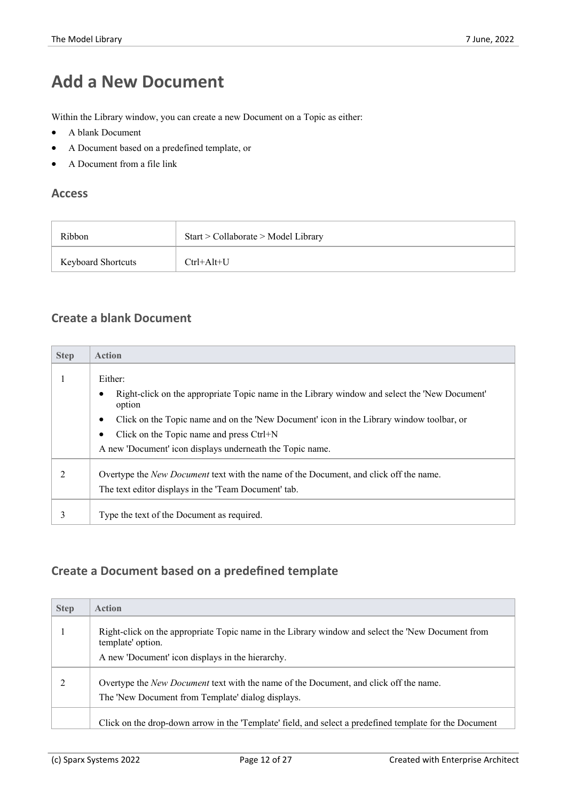# **Add a New Document**

Within the Library window, you can create a new Document on a Topic as either:

- · A blank Document
- · A Document based on a predefined template, or
- A Document from a file link

#### **Access**

| Ribbon                    | Start > Collaborate > Model Library |
|---------------------------|-------------------------------------|
| <b>Keyboard Shortcuts</b> | $Ctrl+Alt+U$                        |

#### **Create a blank Document**

| <b>Step</b> | <b>Action</b>                                                                                                                                                                                                                                                                                                                        |  |
|-------------|--------------------------------------------------------------------------------------------------------------------------------------------------------------------------------------------------------------------------------------------------------------------------------------------------------------------------------------|--|
|             | Either:<br>Right-click on the appropriate Topic name in the Library window and select the 'New Document'<br>option<br>Click on the Topic name and on the 'New Document' icon in the Library window toolbar, or<br>$\bullet$<br>Click on the Topic name and press Ctrl+N<br>A new 'Document' icon displays underneath the Topic name. |  |
| 2           | Overtype the <i>New Document</i> text with the name of the Document, and click off the name.<br>The text editor displays in the 'Team Document' tab.                                                                                                                                                                                 |  |
| 3           | Type the text of the Document as required.                                                                                                                                                                                                                                                                                           |  |

#### **Create a Document based on a predefined template**

| <b>Step</b> | <b>Action</b>                                                                                                                                     |
|-------------|---------------------------------------------------------------------------------------------------------------------------------------------------|
|             | Right-click on the appropriate Topic name in the Library window and select the 'New Document from<br>template' option.                            |
|             | A new 'Document' icon displays in the hierarchy.                                                                                                  |
|             | Overtype the <i>New Document</i> text with the name of the Document, and click off the name.<br>The 'New Document from Template' dialog displays. |
|             | Click on the drop-down arrow in the 'Template' field, and select a predefined template for the Document                                           |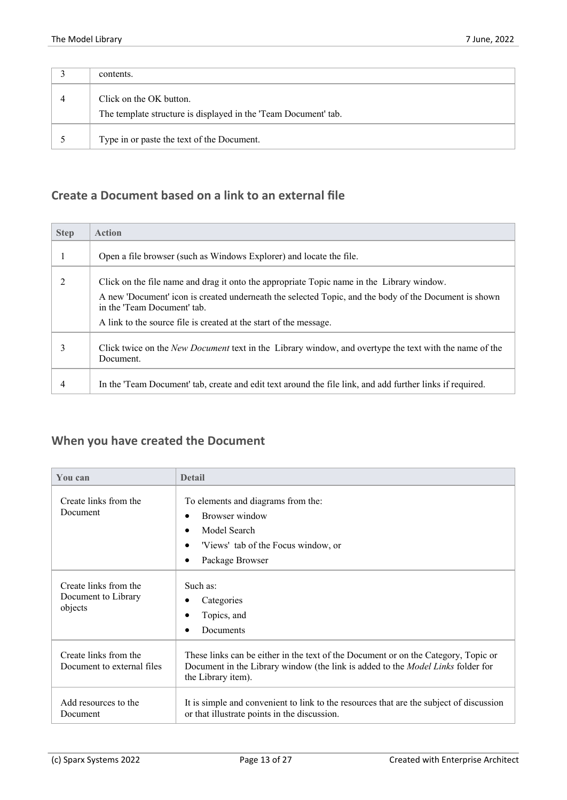| contents.                                                                                  |
|--------------------------------------------------------------------------------------------|
| Click on the OK button.<br>The template structure is displayed in the 'Team Document' tab. |
| Type in or paste the text of the Document.                                                 |

#### **Create a Document based on a link to an external file**

| <b>Step</b> | <b>Action</b>                                                                                                                        |  |
|-------------|--------------------------------------------------------------------------------------------------------------------------------------|--|
|             | Open a file browser (such as Windows Explorer) and locate the file.                                                                  |  |
|             | Click on the file name and drag it onto the appropriate Topic name in the Library window.                                            |  |
|             | A new 'Document' icon is created underneath the selected Topic, and the body of the Document is shown<br>in the 'Team Document' tab. |  |
|             | A link to the source file is created at the start of the message.                                                                    |  |
| 3           | Click twice on the New Document text in the Library window, and overtype the text with the name of the<br>Document.                  |  |
| 4           | In the 'Team Document' tab, create and edit text around the file link, and add further links if required.                            |  |

### **When you have created the Document**

| You can                                                 | <b>Detail</b>                                                                                                                                                                               |
|---------------------------------------------------------|---------------------------------------------------------------------------------------------------------------------------------------------------------------------------------------------|
| Create links from the<br>Document                       | To elements and diagrams from the:<br>Browser window<br>Model Search<br>'Views' tab of the Focus window, or<br>Package Browser<br>$\bullet$                                                 |
| Create links from the<br>Document to Library<br>objects | Such as:<br>Categories<br>Topics, and<br>Documents                                                                                                                                          |
| Create links from the<br>Document to external files     | These links can be either in the text of the Document or on the Category, Topic or<br>Document in the Library window (the link is added to the Model Links folder for<br>the Library item). |
| Add resources to the<br>Document                        | It is simple and convenient to link to the resources that are the subject of discussion<br>or that illustrate points in the discussion.                                                     |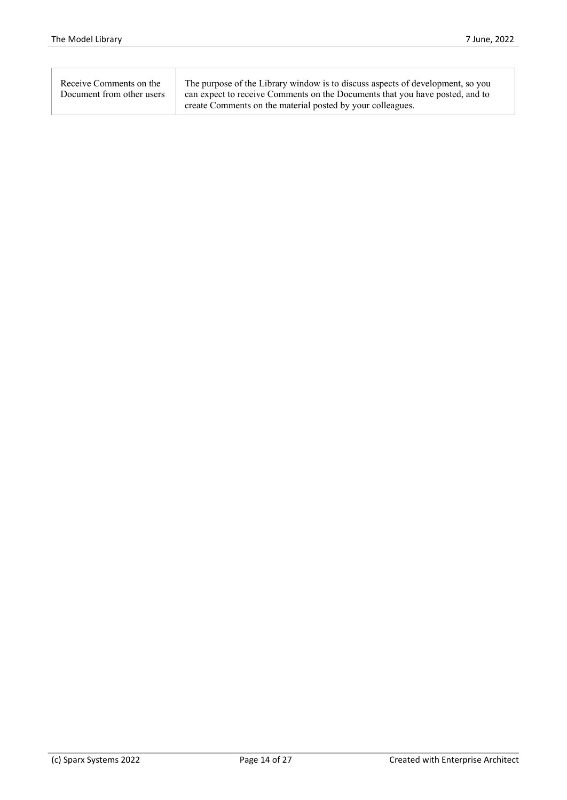| Receive Comments on the   | The purpose of the Library window is to discuss aspects of development, so you |
|---------------------------|--------------------------------------------------------------------------------|
| Document from other users | can expect to receive Comments on the Documents that you have posted, and to   |
|                           | create Comments on the material posted by your colleagues.                     |
|                           |                                                                                |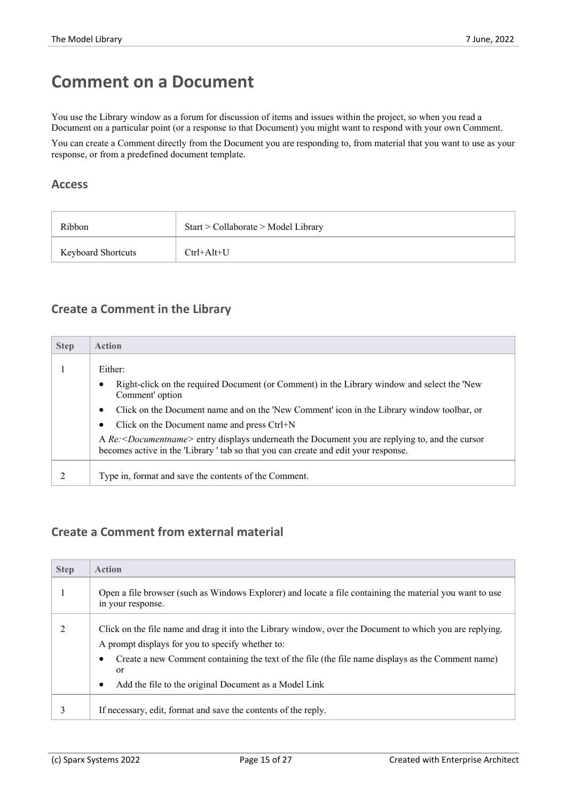### **Comment on a Document**

You use the Library window as a forum for discussion of items and issues within the project, so when you read a Document on a particular point (or a response to that Document) you might want to respond with your own Comment.

You can create a Comment directly from the Document you are responding to, from material that you want to use as your response, or from a predefined document template.

#### **Access**

| Ribbon                    | Start > Collaborate > Model Library |
|---------------------------|-------------------------------------|
| <b>Keyboard Shortcuts</b> | $Ctrl+Alt+U$                        |

#### **Create a Comment in the Library**

| <b>Step</b> | <b>Action</b>                                                                                                                                                                                         |
|-------------|-------------------------------------------------------------------------------------------------------------------------------------------------------------------------------------------------------|
|             | Either:                                                                                                                                                                                               |
|             | Right-click on the required Document (or Comment) in the Library window and select the 'New<br>Comment' option                                                                                        |
|             | Click on the Document name and on the 'New Comment' icon in the Library window toolbar, or<br>٠                                                                                                       |
|             | Click on the Document name and press Ctrl+N                                                                                                                                                           |
|             | A Re: <document name=""> entry displays underneath the Document you are replying to, and the cursor<br/>becomes active in the 'Library' tab so that you can create and edit your response.</document> |
|             | Type in, format and save the contents of the Comment.                                                                                                                                                 |

#### **Create a Comment from external material**

| <b>Step</b> | <b>Action</b>                                                                                                                                                                                                                                                                                                                                            |
|-------------|----------------------------------------------------------------------------------------------------------------------------------------------------------------------------------------------------------------------------------------------------------------------------------------------------------------------------------------------------------|
|             | Open a file browser (such as Windows Explorer) and locate a file containing the material you want to use<br>in your response.                                                                                                                                                                                                                            |
|             | Click on the file name and drag it into the Library window, over the Document to which you are replying.<br>A prompt displays for you to specify whether to:<br>Create a new Comment containing the text of the file (the file name displays as the Comment name)<br><sub>or</sub><br>Add the file to the original Document as a Model Link<br>$\bullet$ |
|             | If necessary, edit, format and save the contents of the reply.                                                                                                                                                                                                                                                                                           |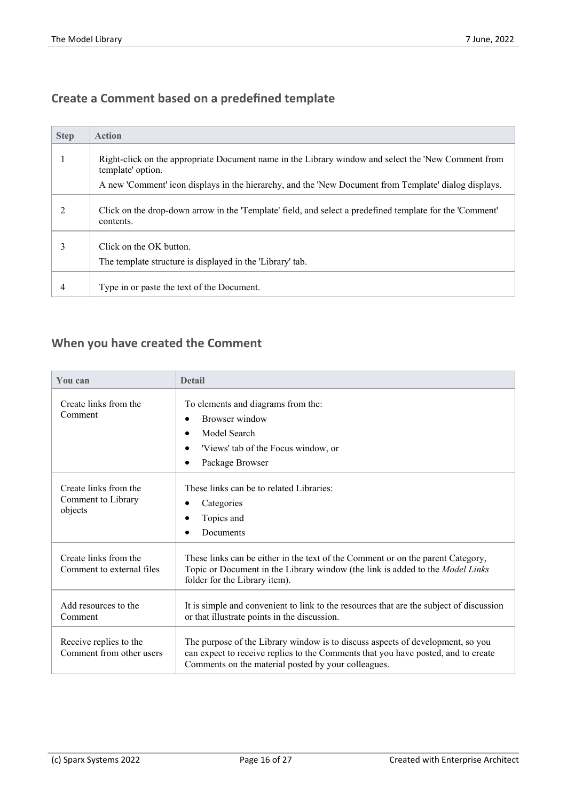#### **Create a Comment based on a predefined template**

| <b>Step</b> | <b>Action</b>                                                                                                            |
|-------------|--------------------------------------------------------------------------------------------------------------------------|
|             | Right-click on the appropriate Document name in the Library window and select the 'New Comment from<br>template' option. |
|             | A new 'Comment' icon displays in the hierarchy, and the 'New Document from Template' dialog displays.                    |
|             | Click on the drop-down arrow in the 'Template' field, and select a predefined template for the 'Comment'<br>contents.    |
| 3           | Click on the OK button.<br>The template structure is displayed in the 'Library' tab.                                     |
| 4           | Type in or paste the text of the Document.                                                                               |

#### **When you have created the Comment**

| You can                                                | <b>Detail</b>                                                                                                                                                                                                              |
|--------------------------------------------------------|----------------------------------------------------------------------------------------------------------------------------------------------------------------------------------------------------------------------------|
| Create links from the<br>Comment                       | To elements and diagrams from the:<br>Browser window<br>Model Search<br>'Views' tab of the Focus window, or<br>Package Browser                                                                                             |
| Create links from the<br>Comment to Library<br>objects | These links can be to related Libraries:<br>Categories<br>Topics and<br>Documents                                                                                                                                          |
| Create links from the<br>Comment to external files     | These links can be either in the text of the Comment or on the parent Category,<br>Topic or Document in the Library window (the link is added to the Model Links<br>folder for the Library item).                          |
| Add resources to the<br>Comment                        | It is simple and convenient to link to the resources that are the subject of discussion<br>or that illustrate points in the discussion.                                                                                    |
| Receive replies to the<br>Comment from other users     | The purpose of the Library window is to discuss aspects of development, so you<br>can expect to receive replies to the Comments that you have posted, and to create<br>Comments on the material posted by your colleagues. |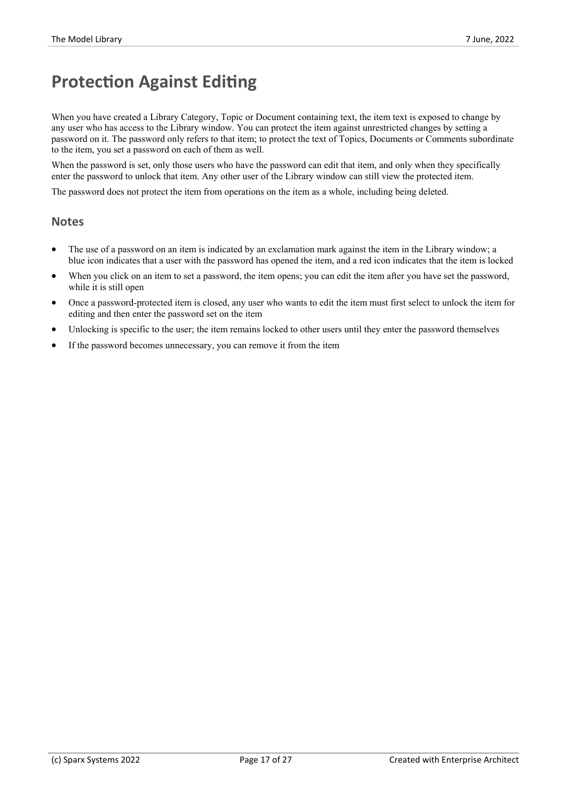### **Protection Against Editing**

When you have created a Library Category, Topic or Document containing text, the item text is exposed to change by any user who has access to the Library window. You can protect the item against unrestricted changes by setting a password on it. The password only refers to that item; to protect the text of Topics, Documents orComments subordinate to the item, you set a password on each of them as well.

When the password is set, only those users who have the password can edit that item, and only when they specifically enter the password to unlock that item. Any other user of the Library window can still view the protected item.

The password does not protect the item from operations on the item as a whole, including being deleted.

#### **Notes**

- The use of a password on an item is indicated by an exclamation mark against the item in the Library window; a blue icon indicates that a user with the password has opened the item, and a red icon indicates that the item is locked
- When you click on an item to set a password, the item opens; you can edit the item after you have set the password, while it is still open
- · Once a password-protected item is closed, any user who wants to edit the item must first select to unlock the item for editing and then enter the password set on the item
- Unlocking is specific to the user; the item remains locked to other users until they enter the password themselves
- If the password becomes unnecessary, you can remove it from the item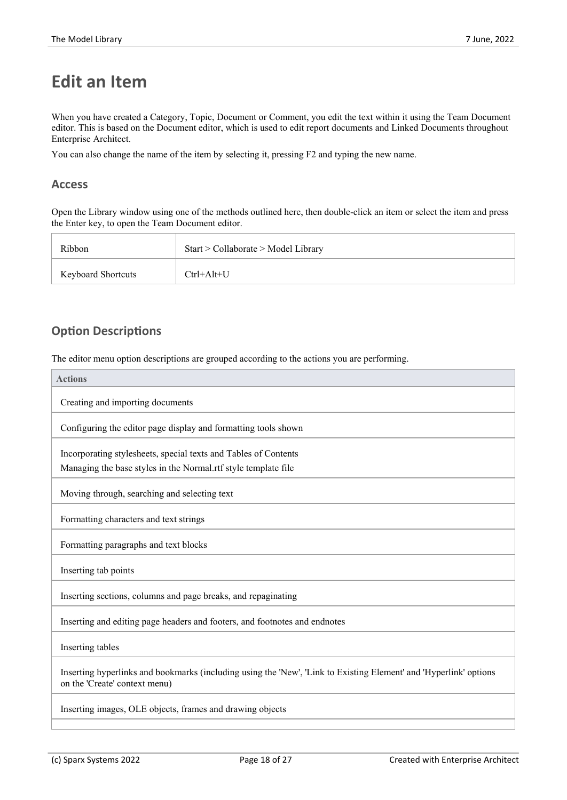### **Edit an Item**

When you have created a Category, Topic, Document or Comment, you edit the text within it using the Team Document editor. This is based on the Document editor, which is used to edit report documents and Linked Documents throughout Enterprise Architect.

You can also change the name of the item by selecting it, pressing F2 and typing the new name.

#### **Access**

Open the Library window using one of the methods outlined here, then double-click an item or select the item and press the Enter key, to open the Team Document editor.

| Ribbon                    | Start > Collaborate > Model Library |
|---------------------------|-------------------------------------|
| <b>Keyboard Shortcuts</b> | $Ctrl+Alt+U$                        |

#### **Option Descriptions**

The editor menu option descriptions are grouped according to the actions you are performing.

| <b>Actions</b>                                                                                                                                     |
|----------------------------------------------------------------------------------------------------------------------------------------------------|
| Creating and importing documents                                                                                                                   |
| Configuring the editor page display and formatting tools shown                                                                                     |
| Incorporating stylesheets, special texts and Tables of Contents                                                                                    |
| Managing the base styles in the Normal.rtf style template file                                                                                     |
| Moving through, searching and selecting text                                                                                                       |
| Formatting characters and text strings                                                                                                             |
| Formatting paragraphs and text blocks                                                                                                              |
| Inserting tab points                                                                                                                               |
| Inserting sections, columns and page breaks, and repaginating                                                                                      |
| Inserting and editing page headers and footers, and footnotes and endnotes                                                                         |
| Inserting tables                                                                                                                                   |
| Inserting hyperlinks and bookmarks (including using the 'New', 'Link to Existing Element' and 'Hyperlink' options<br>on the 'Create' context menu) |
| Inserting images, OLE objects, frames and drawing objects                                                                                          |
|                                                                                                                                                    |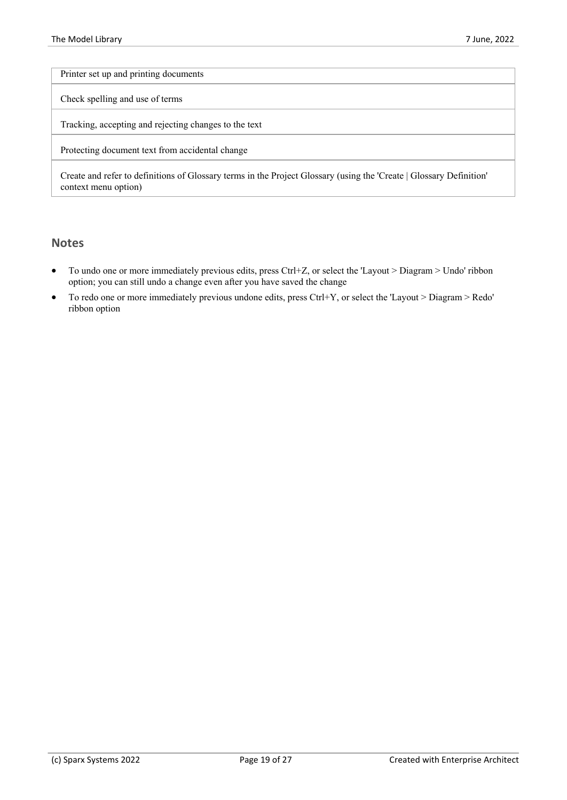Printer set up and printing documents

Check spelling and use of terms

Tracking, accepting and rejecting changes to the text

Protecting document text from accidental change

Create and refer to definitions of Glossary terms in the Project Glossary (using the 'Create | Glossary Definition' context menu option)

#### **Notes**

- · To undo one or more immediately previous edits, press Ctrl+Z, or select the 'Layout > Diagram > Undo' ribbon option; you can still undo a change even after you have saved the change
- · To redo one or more immediately previous undone edits, press Ctrl+Y, or select the 'Layout > Diagram > Redo' ribbon option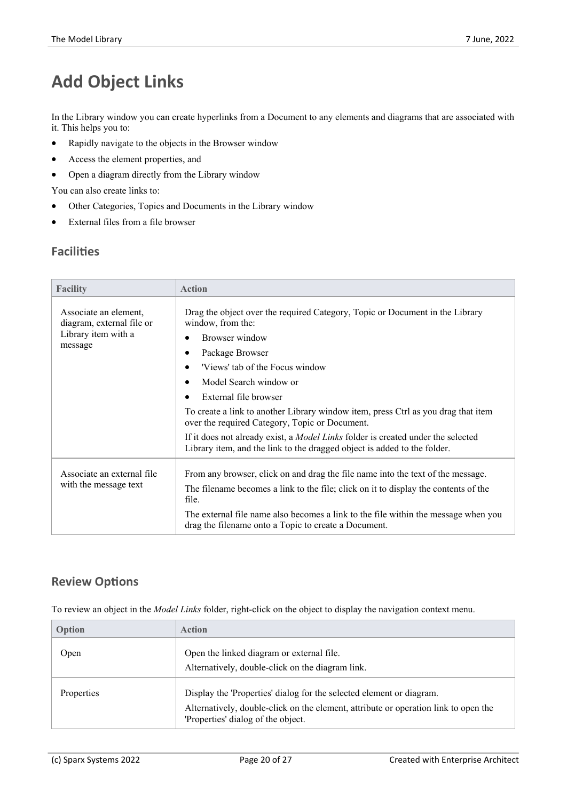# **Add Object Links**

In the Library window you can create hyperlinks from a Document to any elements and diagrams that are associated with it. This helps you to:

- · Rapidly navigate to the objects in the Browser window
- · Access the element properties, and
- · Open a diagram directly from the Library window

You can also create links to:

- Other Categories, Topics and Documents in the Library window
- · External files from a file browser

#### **Facilities**

| <b>Facility</b>                                                                      | <b>Action</b>                                                                                                                                                                                                                                                                                                                                                                                                                                                                                                                                                                           |
|--------------------------------------------------------------------------------------|-----------------------------------------------------------------------------------------------------------------------------------------------------------------------------------------------------------------------------------------------------------------------------------------------------------------------------------------------------------------------------------------------------------------------------------------------------------------------------------------------------------------------------------------------------------------------------------------|
| Associate an element,<br>diagram, external file or<br>Library item with a<br>message | Drag the object over the required Category, Topic or Document in the Library<br>window, from the:<br>Browser window<br>$\bullet$<br>Package Browser<br>'Views' tab of the Focus window<br>$\bullet$<br>Model Search window or<br>$\bullet$<br>External file browser<br>$\bullet$<br>To create a link to another Library window item, press Ctrl as you drag that item<br>over the required Category, Topic or Document.<br>If it does not already exist, a Model Links folder is created under the selected<br>Library item, and the link to the dragged object is added to the folder. |
| Associate an external file<br>with the message text                                  | From any browser, click on and drag the file name into the text of the message.<br>The filename becomes a link to the file; click on it to display the contents of the<br>file.<br>The external file name also becomes a link to the file within the message when you<br>drag the filename onto a Topic to create a Document.                                                                                                                                                                                                                                                           |

#### **Review Options**

To review an object in the *Model Links* folder, right-click on the object to display the navigation context menu.

| Option     | <b>Action</b>                                                                                                             |
|------------|---------------------------------------------------------------------------------------------------------------------------|
| Open       | Open the linked diagram or external file.                                                                                 |
|            | Alternatively, double-click on the diagram link.                                                                          |
| Properties | Display the 'Properties' dialog for the selected element or diagram.                                                      |
|            | Alternatively, double-click on the element, attribute or operation link to open the<br>'Properties' dialog of the object. |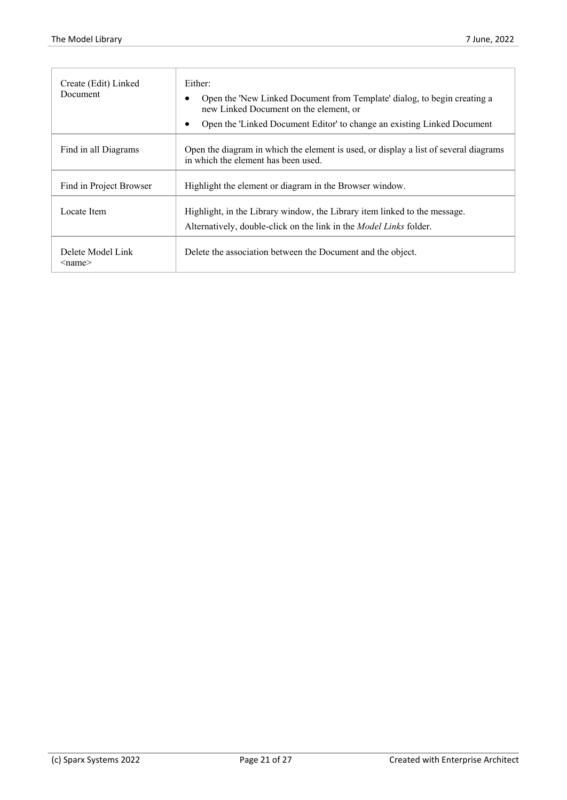| Create (Edit) Linked<br>Document      | Either:<br>Open the 'New Linked Document from Template' dialog, to begin creating a<br>new Linked Document on the element, or<br>Open the 'Linked Document Editor' to change an existing Linked Document |  |
|---------------------------------------|----------------------------------------------------------------------------------------------------------------------------------------------------------------------------------------------------------|--|
| Find in all Diagrams                  | Open the diagram in which the element is used, or display a list of several diagrams<br>in which the element has been used.                                                                              |  |
| Find in Project Browser               | Highlight the element or diagram in the Browser window.                                                                                                                                                  |  |
| Locate Item                           | Highlight, in the Library window, the Library item linked to the message.<br>Alternatively, double-click on the link in the <i>Model Links</i> folder.                                                   |  |
| Delete Model Link<br>$\le$ name $\ge$ | Delete the association between the Document and the object.                                                                                                                                              |  |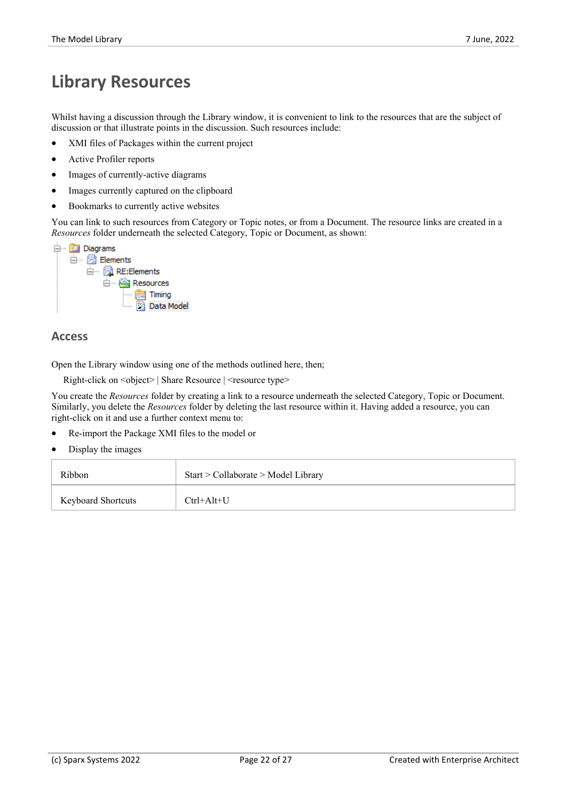### **Library Resources**

Whilst having a discussion through the Library window, it is convenient to link to the resources that are the subject of discussion or that illustrate points in the discussion. Such resources include:

- XMI files of Packages within the current project
- Active Profiler reports
- Images of currently-active diagrams
- Images currently captured on the clipboard
- Bookmarks to currently active websites

You can link to such resources from Category or Topic notes, or from a Document. The resource links are created in a *Resources* folder underneath the selected Category, Topic or Document, as shown:



#### **Access**

Open the Library window using one of the methods outlined here, then;

Right-click on <object> | Share Resource | <resource type>

You create the *Resources* folder by creating a link to a resource underneath the selected Category, Topic or Document. Similarly, you delete the *Resources* folder by deleting the last resource within it. Having added a resource, you can right-click on it and use a further context menu to:

- Re-import the Package XMI files to the model or
- Display the images

| Ribbon                    | Start > Collaborate > Model Library |
|---------------------------|-------------------------------------|
| <b>Keyboard Shortcuts</b> | $Ctrl+Alt+U$                        |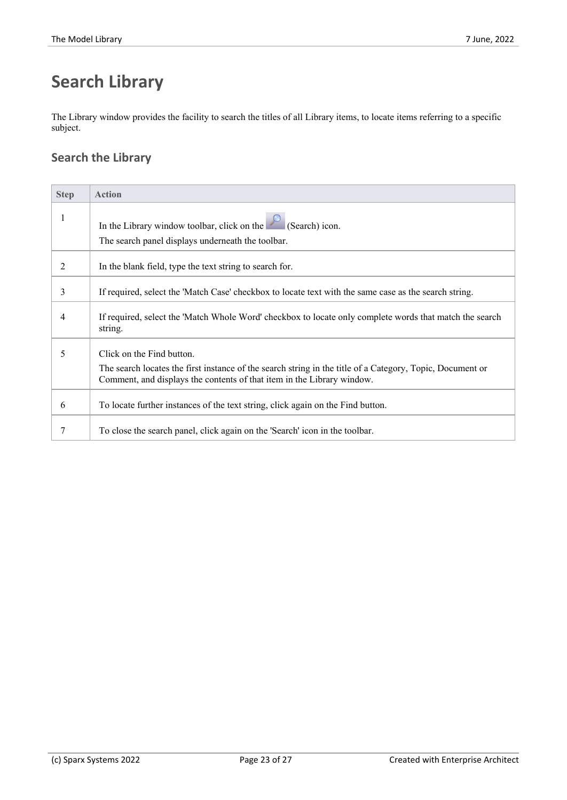# **Search Library**

The Library window provides the facility to search the titles of all Library items, to locate items referring to a specific subject.

#### **Search the Library**

| <b>Step</b> | <b>Action</b>                                                                                                                                                                                                    |
|-------------|------------------------------------------------------------------------------------------------------------------------------------------------------------------------------------------------------------------|
|             | In the Library window toolbar, click on the $\sim$ (Search) icon.<br>The search panel displays underneath the toolbar.                                                                                           |
| 2           | In the blank field, type the text string to search for.                                                                                                                                                          |
| 3           | If required, select the 'Match Case' checkbox to locate text with the same case as the search string.                                                                                                            |
| 4           | If required, select the 'Match Whole Word' checkbox to locate only complete words that match the search<br>string.                                                                                               |
| 5           | Click on the Find button.<br>The search locates the first instance of the search string in the title of a Category, Topic, Document or<br>Comment, and displays the contents of that item in the Library window. |
| 6           | To locate further instances of the text string, click again on the Find button.                                                                                                                                  |
|             | To close the search panel, click again on the 'Search' icon in the toolbar.                                                                                                                                      |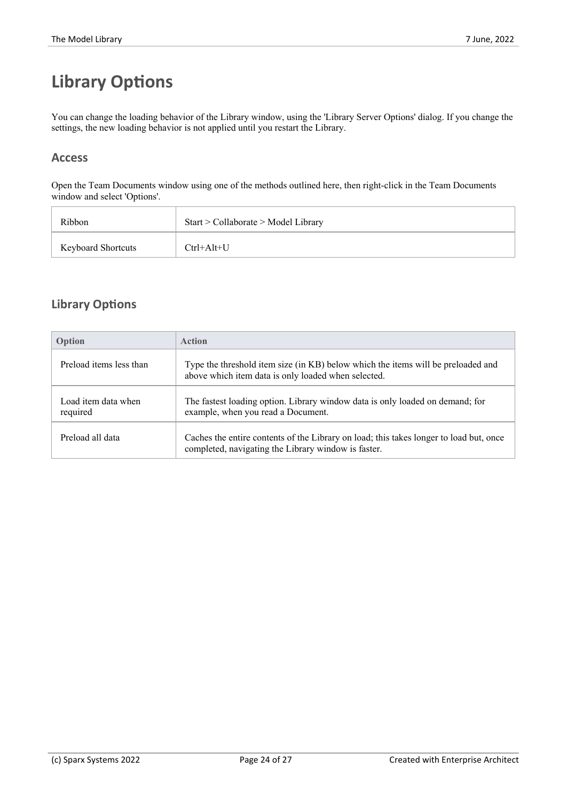# **Library Options**

You can change the loading behavior of the Library window, using the 'Library Server Options' dialog. If you change the settings, the new loading behavior is not applied until you restart the Library.

#### **Access**

Open the Team Documents window using one of the methods outlined here, then right-click in the Team Documents window and select 'Options'.

| <b>Ribbon</b>             | Start > Collaborate > Model Library |
|---------------------------|-------------------------------------|
| <b>Keyboard Shortcuts</b> | Ctrl+Alt+U                          |

#### **Library Options**

| Option                          | <b>Action</b>                                                                                                                                 |
|---------------------------------|-----------------------------------------------------------------------------------------------------------------------------------------------|
| Preload items less than         | Type the threshold item size (in KB) below which the items will be preloaded and<br>above which item data is only loaded when selected.       |
| Load item data when<br>required | The fastest loading option. Library window data is only loaded on demand; for<br>example, when you read a Document.                           |
| Preload all data                | Caches the entire contents of the Library on load; this takes longer to load but, once<br>completed, navigating the Library window is faster. |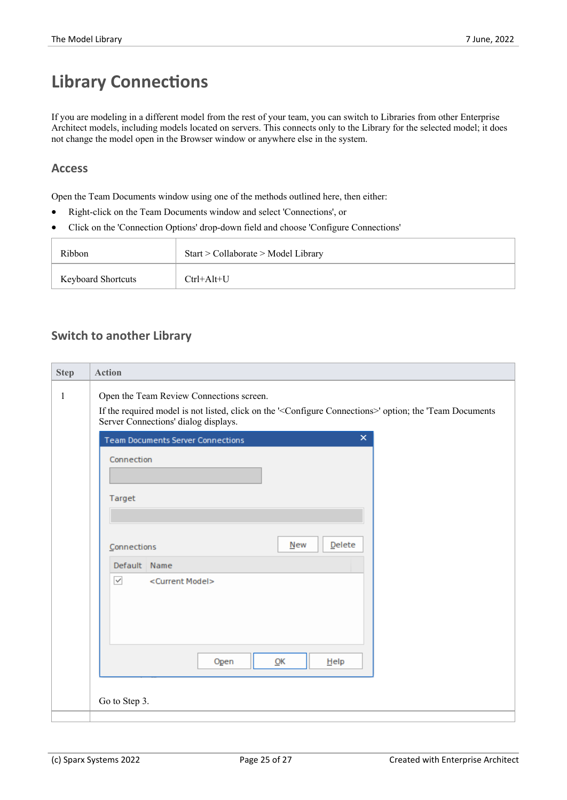# **Library Connections**

If you are modeling in a different model from the rest of your team, you can switch to Libraries from other Enterprise Architect models, including models located on servers. This connects only to the Library for the selected model; it does not change the model open in the Browser window or anywhere else in the system.

#### **Access**

Open the Team Documents window using one of the methods outlined here, then either:

- · Right-click on the Team Documents window and select 'Connections', or
- · Click on the 'Connection Options' drop-down field and choose 'Configure Connections'

| Ribbon                    | Start > Collaborate > Model Library |
|---------------------------|-------------------------------------|
| <b>Keyboard Shortcuts</b> | $Ctrl+Alt+U$                        |

#### **Switch to another Library**

| <b>Step</b>  | Action                                                                                                                                                                                                       |  |
|--------------|--------------------------------------------------------------------------------------------------------------------------------------------------------------------------------------------------------------|--|
| $\mathbf{1}$ | Open the Team Review Connections screen.<br>If the required model is not listed, click on the ' <configure connections="">' option; the 'Team Documents<br/>Server Connections' dialog displays.</configure> |  |
|              | $\pmb{\times}$<br><b>Team Documents Server Connections</b>                                                                                                                                                   |  |
|              | Connection                                                                                                                                                                                                   |  |
|              | Target                                                                                                                                                                                                       |  |
|              | Delete<br>New<br>Connections                                                                                                                                                                                 |  |
|              | Default Name                                                                                                                                                                                                 |  |
|              | $\blacktriangledown$<br><current model=""></current>                                                                                                                                                         |  |
|              | Open<br>QK<br>$He$ lp                                                                                                                                                                                        |  |
|              | Go to Step 3.                                                                                                                                                                                                |  |